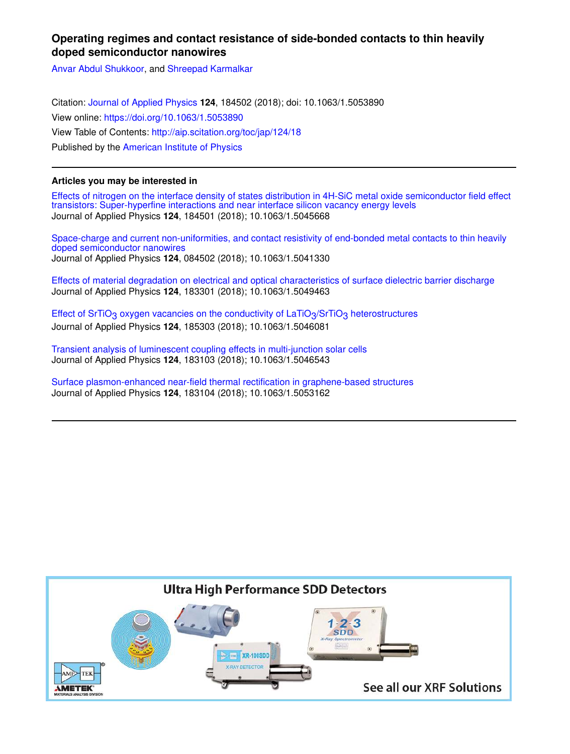# **Operating regimes and contact resistance of side-bonded contacts to thin heavily doped semiconductor nanowires**

Anvar Abdul Shukkoor, and Shreepad Karmalkar

Citation: Journal of Applied Physics **124**, 184502 (2018); doi: 10.1063/1.5053890 View online: https://doi.org/10.1063/1.5053890 View Table of Contents: http://aip.scitation.org/toc/jap/124/18 Published by the American Institute of Physics

## **Articles you may be interested in**

Effects of nitrogen on the interface density of states distribution in 4H-SiC metal oxide semiconductor field effect transistors: Super-hyperfine interactions and near interface silicon vacancy energy levels Journal of Applied Physics **124**, 184501 (2018); 10.1063/1.5045668

Space-charge and current non-uniformities, and contact resistivity of end-bonded metal contacts to thin heavily doped semiconductor nanowires Journal of Applied Physics **124**, 084502 (2018); 10.1063/1.5041330

Effects of material degradation on electrical and optical characteristics of surface dielectric barrier discharge Journal of Applied Physics **124**, 183301 (2018); 10.1063/1.5049463

Effect of SrTiO<sub>3</sub> oxygen vacancies on the conductivity of LaTiO<sub>3</sub>/SrTiO<sub>3</sub> heterostructures Journal of Applied Physics **124**, 185303 (2018); 10.1063/1.5046081

Transient analysis of luminescent coupling effects in multi-junction solar cells Journal of Applied Physics **124**, 183103 (2018); 10.1063/1.5046543

Surface plasmon-enhanced near-field thermal rectification in graphene-based structures Journal of Applied Physics **124**, 183104 (2018); 10.1063/1.5053162

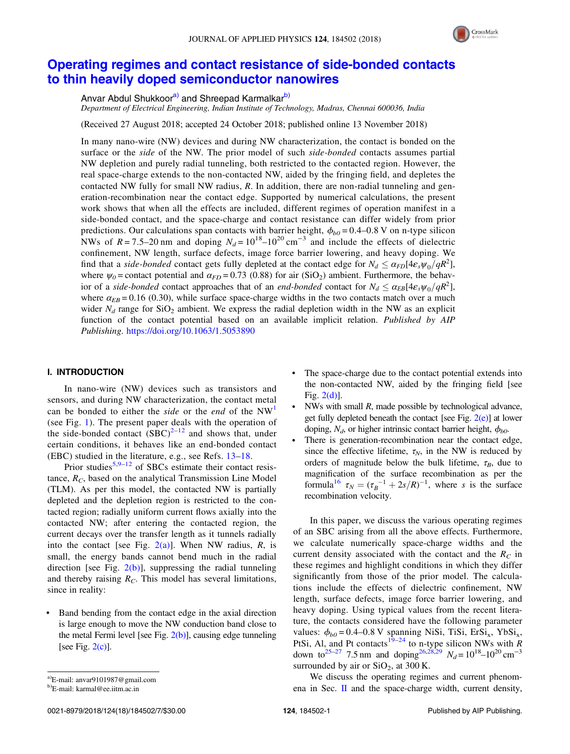

# Operating regimes and contact resistance of side-bonded contacts to thin heavily doped semiconductor nanowires

Anvar Abdul Shukkoor<sup>a)</sup> and Shreepad Karmalkar<sup>b)</sup>

*Department of Electrical Engineering, Indian Institute of Technology, Madras, Chennai 600036, India*

(Received 27 August 2018; accepted 24 October 2018; published online 13 November 2018)

In many nano-wire (NW) devices and during NW characterization, the contact is bonded on the surface or the *side* of the NW. The prior model of such *side-bonded* contacts assumes partial NW depletion and purely radial tunneling, both restricted to the contacted region. However, the real space-charge extends to the non-contacted NW, aided by the fringing field, and depletes the contacted NW fully for small NW radius, *R*. In addition, there are non-radial tunneling and generation-recombination near the contact edge. Supported by numerical calculations, the present work shows that when all the effects are included, different regimes of operation manifest in a side-bonded contact, and the space-charge and contact resistance can differ widely from prior predictions. Our calculations span contacts with barrier height,  $\phi_{b0} = 0.4$ –0.8 V on n-type silicon NWs of  $R = 7.5-20$  nm and doping  $N_d = 10^{18}-10^{20}$  cm<sup>-3</sup> and include the effects of dielectric confinement, NW length, surface defects, image force barrier lowering, and heavy doping. We find that a *side-bonded* contact gets fully depleted at the contact edge for  $N_d \leq \alpha_{FD} [4\varepsilon_s \psi_0 / qR^2]$ , where  $\psi_0$  = contact potential and  $\alpha_{FD}$  = 0.73 (0.88) for air (SiO<sub>2</sub>) ambient. Furthermore, the behavior of a *side-bonded* contact approaches that of an *end-bonded* contact for  $N_d \le \alpha_{EB}[4\varepsilon_s\psi_0/qR^2]$ , where  $\alpha_{EB} = 0.16$  (0.30), while surface space-charge widths in the two contacts match over a much wider  $N_d$  range for  $SiO_2$  ambient. We express the radial depletion width in the NW as an explicit function of the contact potential based on an available implicit relation. *Published by AIP Publishing.* https://doi.org/10.1063/1.5053890

## I. INTRODUCTION

In nano-wire (NW) devices such as transistors and sensors, and during NW characterization, the contact metal can be bonded to either the *side* or the *end* of the NW<sup>1</sup> (see Fig. 1). The present paper deals with the operation of the side-bonded contact  $(SBC)^{2-12}$  and shows that, under certain conditions, it behaves like an end-bonded contact (EBC) studied in the literature, e.g., see Refs. 13–18.

Prior studies<sup>5,9–12</sup> of SBCs estimate their contact resistance, *RC*, based on the analytical Transmission Line Model (TLM). As per this model, the contacted NW is partially depleted and the depletion region is restricted to the contacted region; radially uniform current flows axially into the contacted NW; after entering the contacted region, the current decays over the transfer length as it tunnels radially into the contact [see Fig.  $2(a)$ ]. When NW radius, *R*, is small, the energy bands cannot bend much in the radial direction [see Fig.  $2(b)$ ], suppressing the radial tunneling and thereby raising *RC*. This model has several limitations, since in reality:

• Band bending from the contact edge in the axial direction is large enough to move the NW conduction band close to the metal Fermi level [see Fig.  $2(b)$ ], causing edge tunneling [see Fig.  $2(c)$ ].

- The space-charge due to the contact potential extends into the non-contacted NW, aided by the fringing field [see Fig. 2(d)].
- NWs with small *R*, made possible by technological advance, get fully depleted beneath the contact [see Fig.  $2(e)$ ] at lower doping,  $N_d$ , or higher intrinsic contact barrier height,  $\phi_{b0}$ .
- There is generation-recombination near the contact edge, since the effective lifetime,  $\tau_N$ , in the NW is reduced by orders of magnitude below the bulk lifetime,  $\tau_B$ , due to magnification of the surface recombination as per the formula<sup>16</sup>  $\tau_N = (\tau_B^{-1} + 2s/R)^{-1}$ , where *s* is the surface recombination velocity.

In this paper, we discuss the various operating regimes of an SBC arising from all the above effects. Furthermore, we calculate numerically space-charge widths and the current density associated with the contact and the  $R_C$  in these regimes and highlight conditions in which they differ significantly from those of the prior model. The calculations include the effects of dielectric confinement, NW length, surface defects, image force barrier lowering, and heavy doping. Using typical values from the recent literature, the contacts considered have the following parameter values:  $\phi_{b0} = 0.4 - 0.8$  V spanning NiSi, TiSi, ErSi<sub>x</sub>, YbSi<sub>x</sub>, PtSi, Al, and Pt contacts<sup>19–24</sup> to n-type silicon NWs with *R*<br> $\frac{25.28 \times 10^{-14} \text{ J}}{25.28 \times 10^{-14} \text{ J}} \times 10^{-18} \text{ J} \cdot \frac{20}{10^{-14}}$ down to<sup>25–27</sup> 7.5 nm and doping<sup>26,28,29</sup>  $N_d = 10^{18} - 10^{20}$  cm<sup>-3</sup> surrounded by air or  $SiO<sub>2</sub>$ , at 300 K.

We discuss the operating regimes and current phenomena in Sec.  $\mathbf{I}$  and the space-charge width, current density,

a)E-mail: anvar9101987@gmail.com

b)E-mail: karmal@ee.iitm.ac.in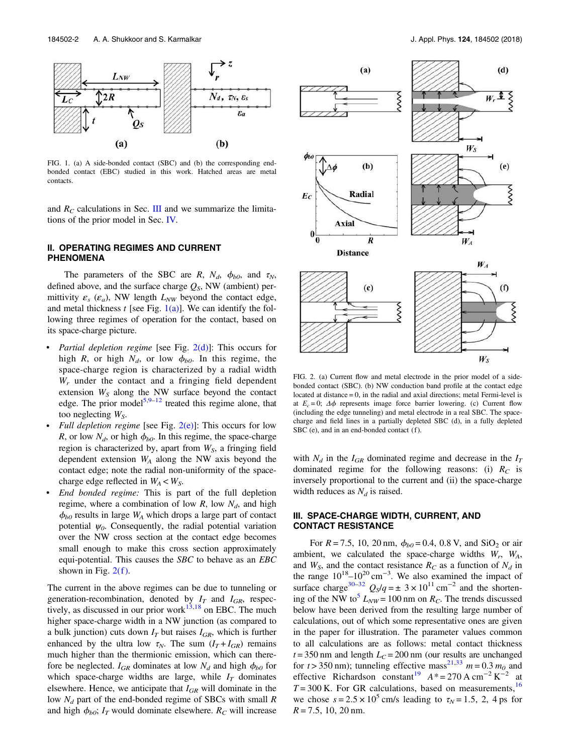

FIG. 1. (a) A side-bonded contact (SBC) and (b) the corresponding endbonded contact (EBC) studied in this work. Hatched areas are metal contacts.

and  $R_C$  calculations in Sec. III and we summarize the limitations of the prior model in Sec. IV.

## II. OPERATING REGIMES AND CURRENT PHENOMENA

The parameters of the SBC are *R*,  $N_d$ ,  $\phi_{b0}$ , and  $\tau_N$ , defined above, and the surface charge *QS*, NW (ambient) permittivity  $\varepsilon_s$  ( $\varepsilon_a$ ), NW length  $L_{NW}$  beyond the contact edge, and metal thickness  $t$  [see Fig. 1(a)]. We can identify the following three regimes of operation for the contact, based on its space-charge picture.

- *Partial depletion regime* [see Fig. 2(d)]: This occurs for high *R*, or high  $N_d$ , or low  $\phi_{b0}$ . In this regime, the space-charge region is characterized by a radial width *W<sup>r</sup>* under the contact and a fringing field dependent extension  $W<sub>S</sub>$  along the NW surface beyond the contact edge. The prior model<sup>5,9–12</sup> treated this regime alone, that too neglecting *WS*.
- *Full depletion regime* [see Fig. 2(e)]: This occurs for low *R*, or low  $N_d$ , or high  $\phi_{b0}$ . In this regime, the space-charge region is characterized by, apart from *WS*, a fringing field dependent extension *W<sup>A</sup>* along the NW axis beyond the contact edge; note the radial non-uniformity of the spacecharge edge reflected in  $W_A < W_S$ .
- *End bonded regime:* This is part of the full depletion regime, where a combination of low  $R$ , low  $N_d$ , and high  $\phi_{b0}$  results in large  $W_A$  which drops a large part of contact potential  $\psi_0$ . Consequently, the radial potential variation over the NW cross section at the contact edge becomes small enough to make this cross section approximately equi-potential. This causes the *SBC* to behave as an *EBC* shown in Fig.  $2(f)$ .

The current in the above regimes can be due to tunneling or generation-recombination, denoted by  $I_T$  and  $I_{GR}$ , respectively, as discussed in our prior work $13,18$  on EBC. The much higher space-charge width in a NW junction (as compared to a bulk junction) cuts down  $I_T$  but raises  $I_{GR}$ , which is further enhanced by the ultra low  $\tau_N$ . The sum  $(I_T + I_{GR})$  remains much higher than the thermionic emission, which can therefore be neglected.  $I_{GR}$  dominates at low  $N_d$  and high  $\phi_{b0}$  for which space-charge widths are large, while  $I_T$  dominates elsewhere. Hence, we anticipate that *IGR* will dominate in the low *N<sup>d</sup>* part of the end-bonded regime of SBCs with small *R* and high  $\phi_{b0}$ ;  $I_T$  would dominate elsewhere.  $R_C$  will increase



FIG. 2. (a) Current flow and metal electrode in the prior model of a sidebonded contact (SBC). (b) NW conduction band profile at the contact edge located at distance = 0, in the radial and axial directions; metal Fermi-level is at  $E_c = 0$ ;  $\Delta \phi$  represents image force barrier lowering. (c) Current flow (including the edge tunneling) and metal electrode in a real SBC. The spacecharge and field lines in a partially depleted SBC (d), in a fully depleted SBC (e), and in an end-bonded contact (f).

with  $N_d$  in the  $I_{GR}$  dominated regime and decrease in the  $I_T$ dominated regime for the following reasons: (i) *R<sup>C</sup>* is inversely proportional to the current and (ii) the space-charge width reduces as  $N_d$  is raised.

## III. SPACE-CHARGE WIDTH, CURRENT, AND CONTACT RESISTANCE

For  $R = 7.5$ , 10, 20 nm,  $\phi_{b0} = 0.4$ , 0.8 V, and SiO<sub>2</sub> or air ambient, we calculated the space-charge widths  $W_r$ ,  $W_A$ , and  $W_s$ , and the contact resistance  $R_c$  as a function of  $N_d$  in the range  $10^{18} - 10^{20}$  cm<sup>-3</sup>. We also examined the impact of surface charge<sup>30–32</sup>  $Q_s/q = \pm 3 \times 10^{11}$  cm<sup>-2</sup> and the shortening of the NW to<sup>5</sup>  $L_{NW}$  = 100 nm on  $R_C$ . The trends discussed below have been derived from the resulting large number of calculations, out of which some representative ones are given in the paper for illustration. The parameter values common to all calculations are as follows: metal contact thickness  $t = 350$  nm and length  $L<sub>C</sub> = 200$  nm (our results are unchanged for  $t > 350$  nm); tunneling effective mass<sup>21,33</sup>  $m = 0.3$   $m<sub>0</sub>$  and effective Richardson constant<sup>19</sup>  $A^* = 270 \text{ A cm}^{-2} \text{ K}^{-2}$  at  $T = 300$  K. For GR calculations, based on measurements,  $^{16}$ we chose  $s = 2.5 \times 10^5$  cm/s leading to  $\tau_N = 1.5$ , 2, 4 ps for *R* = 7.5, 10, 20 nm.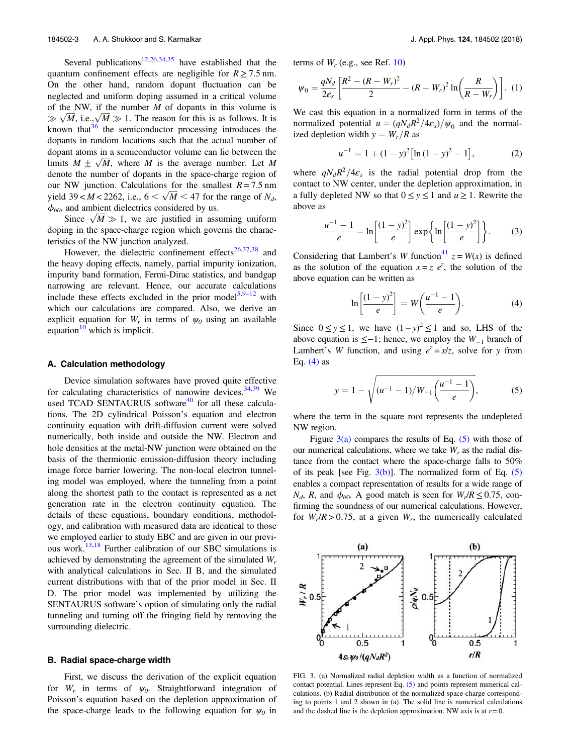Several publications<sup>12,26,34,35</sup> have established that the quantum confinement effects are negligible for  $R \ge 7.5$  nm. On the other hand, random dopant fluctuation can be neglected and uniform doping assumed in a critical volume of the NW, if the number *M* of dopants in this volume is  $\gg \sqrt{M}$ , i.e.,  $\sqrt{M} \gg 1$ . The reason for this is as follows. It is known that  $36$  the semiconductor processing introduces the dopants in random locations such that the actual number of dopant atoms in a semiconductor volume can lie between the limits  $M \pm \sqrt{M}$ , where *M* is the average number. Let *M* denote the number of dopants in the space-charge region of our NW junction. Calculations for the smallest  $R = 7.5$  nm yield  $39 < M < 2262$ , i.e.,  $6 < \sqrt{M} < 47$  for the range of  $N_d$ ,  $\phi_{b0}$ , and ambient dielectrics considered by us.

Since  $\sqrt{M} \gg 1$ , we are justified in assuming uniform doping in the space-charge region which governs the characteristics of the NW junction analyzed.

However, the dielectric confinement effects<sup>26,37,38</sup> and the heavy doping effects, namely, partial impurity ionization, impurity band formation, Fermi-Dirac statistics, and bandgap narrowing are relevant. Hence, our accurate calculations include these effects excluded in the prior model<sup>5,9–12</sup> with which our calculations are compared. Also, we derive an explicit equation for  $W_r$  in terms of  $\psi_0$  using an available equation<sup>10</sup> which is implicit.

#### A. Calculation methodology

Device simulation softwares have proved quite effective for calculating characteristics of nanowire devices.  $34,39$  We used TCAD SENTAURUS software<sup>40</sup> for all these calculations. The 2D cylindrical Poisson's equation and electron continuity equation with drift-diffusion current were solved numerically, both inside and outside the NW. Electron and hole densities at the metal-NW junction were obtained on the basis of the thermionic emission-diffusion theory including image force barrier lowering. The non-local electron tunneling model was employed, where the tunneling from a point along the shortest path to the contact is represented as a net generation rate in the electron continuity equation. The details of these equations, boundary conditions, methodology, and calibration with measured data are identical to those we employed earlier to study EBC and are given in our previous work.<sup>13,18</sup> Further calibration of our SBC simulations is achieved by demonstrating the agreement of the simulated *W<sup>r</sup>* with analytical calculations in Sec. II B, and the simulated current distributions with that of the prior model in Sec. II D. The prior model was implemented by utilizing the SENTAURUS software's option of simulating only the radial tunneling and turning off the fringing field by removing the surrounding dielectric.

#### B. Radial space-charge width

First, we discuss the derivation of the explicit equation for  $W_r$  in terms of  $\psi_0$ . Straightforward integration of Poisson's equation based on the depletion approximation of the space-charge leads to the following equation for  $\psi_0$  in

terms of  $W_r$  (e.g., see Ref. 10)

$$
\psi_0 = \frac{qN_d}{2\varepsilon_s} \left[ \frac{R^2 - (R - W_r)^2}{2} - (R - W_r)^2 \ln \left( \frac{R}{R - W_r} \right) \right]. \tag{1}
$$

We cast this equation in a normalized form in terms of the normalized potential  $u = (qN_dR^2/4\varepsilon_s)/\psi_0$  and the normalized depletion width  $y = W_r/R$  as

$$
u^{-1} = 1 + (1 - y)^2 \left[ \ln(1 - y)^2 - 1 \right],\tag{2}
$$

where  $qN_dR^2/4\varepsilon_s$  is the radial potential drop from the contact to NW center, under the depletion approximation, in a fully depleted NW so that  $0 \le y \le 1$  and  $u \ge 1$ . Rewrite the above as

$$
\frac{u^{-1}-1}{e} = \ln\left[\frac{(1-y)^2}{e}\right] \exp\left\{\ln\left[\frac{(1-y)^2}{e}\right]\right\}.
$$
 (3)

Considering that Lambert's *W* function<sup>41</sup>  $z = W(x)$  is defined as the solution of the equation  $x = z e^z$ , the solution of the above equation can be written as

$$
\ln\left[\frac{(1-y)^2}{e}\right] = W\left(\frac{u^{-1}-1}{e}\right). \tag{4}
$$

Since  $0 \le y \le 1$ , we have  $(1-y)^2 \le 1$  and so, LHS of the above equation is ≤−1; hence, we employ the *W*−<sup>1</sup> branch of Lambert's *W* function, and using  $e^z = x/z$ , solve for *y* from Eq.  $(4)$  as

$$
y = 1 - \sqrt{(u^{-1} - 1)/W_{-1} \left(\frac{u^{-1} - 1}{e}\right)},
$$
 (5)

where the term in the square root represents the undepleted NW region.

Figure  $3(a)$  compares the results of Eq. (5) with those of our numerical calculations, where we take  $W_r$  as the radial distance from the contact where the space-charge falls to 50% of its peak [see Fig.  $3(b)$ ]. The normalized form of Eq. (5) enables a compact representation of results for a wide range of *N<sub>d</sub>*, *R*, and  $\phi_{b0}$ . A good match is seen for  $W_r/R \le 0.75$ , confirming the soundness of our numerical calculations. However, for  $W_r/R > 0.75$ , at a given  $W_r$ , the numerically calculated



FIG. 3. (a) Normalized radial depletion width as a function of normalized contact potential. Lines represent Eq. (5) and points represent numerical calculations. (b) Radial distribution of the normalized space-charge corresponding to points 1 and 2 shown in (a). The solid line is numerical calculations and the dashed line is the depletion approximation. NW axis is at  $r = 0$ .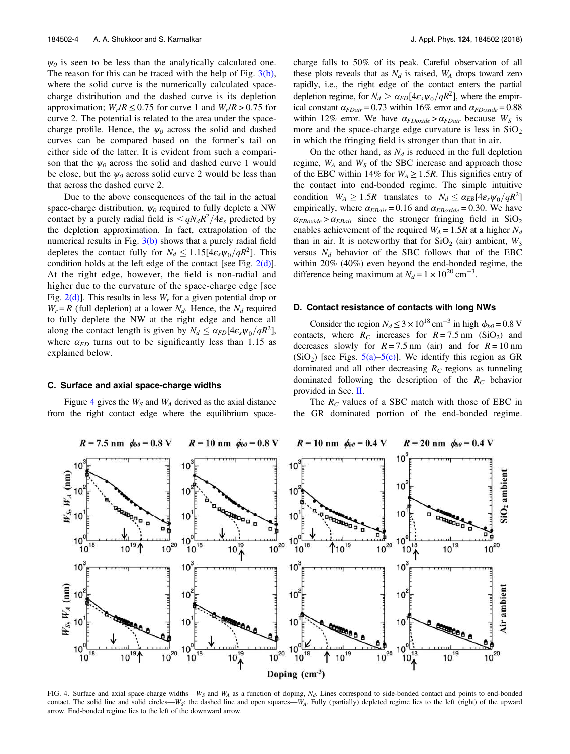$\psi_0$  is seen to be less than the analytically calculated one. The reason for this can be traced with the help of Fig.  $3(b)$ , where the solid curve is the numerically calculated spacecharge distribution and the dashed curve is its depletion approximation;  $W_r/R \le 0.75$  for curve 1 and  $W_r/R > 0.75$  for curve 2. The potential is related to the area under the spacecharge profile. Hence, the  $\psi_0$  across the solid and dashed curves can be compared based on the former's tail on either side of the latter. It is evident from such a comparison that the  $\psi_0$  across the solid and dashed curve 1 would be close, but the  $\psi_0$  across solid curve 2 would be less than that across the dashed curve 2.

Due to the above consequences of the tail in the actual space-charge distribution, ψ*<sup>0</sup>* required to fully deplete a NW contact by a purely radial field is  $\langle qN_dR^2/4\varepsilon_s$  predicted by the depletion approximation. In fact, extrapolation of the numerical results in Fig.  $3(b)$  shows that a purely radial field depletes the contact fully for  $N_d \leq 1.15[4\varepsilon_s\psi_0/qR^2]$ . This condition holds at the left edge of the contact [see Fig. 2(d)]. At the right edge, however, the field is non-radial and higher due to the curvature of the space-charge edge [see Fig. 2(d)]. This results in less *W<sup>r</sup>* for a given potential drop or  $W_r = R$  (full depletion) at a lower  $N_d$ . Hence, the  $N_d$  required to fully deplete the NW at the right edge and hence all along the contact length is given by  $N_d \leq \alpha_{FD} [4\varepsilon_s \psi_0 / qR^2]$ , where  $\alpha_{FD}$  turns out to be significantly less than 1.15 as explained below.

#### C. Surface and axial space-charge widths

Figure 4 gives the  $W<sub>S</sub>$  and  $W<sub>A</sub>$  derived as the axial distance from the right contact edge where the equilibrium spacecharge falls to 50% of its peak. Careful observation of all these plots reveals that as  $N_d$  is raised,  $W_A$  drops toward zero rapidly, i.e., the right edge of the contact enters the partial depletion regime, for  $N_d > \alpha_{FD} [4\varepsilon_s \psi_0 / qR^2]$ , where the empirical constant  $\alpha_{FDair}$  = 0.73 within 16% error and  $\alpha_{FDoxide}$  = 0.88 within 12% error. We have  $\alpha_{FDoxide} > \alpha_{FDair}$  because  $W_S$  is more and the space-charge edge curvature is less in  $SiO<sub>2</sub>$ in which the fringing field is stronger than that in air.

On the other hand, as  $N_d$  is reduced in the full depletion regime, *W<sup>A</sup>* and *W<sup>S</sup>* of the SBC increase and approach those of the EBC within 14% for  $W_A \ge 1.5R$ . This signifies entry of the contact into end-bonded regime. The simple intuitive condition  $W_A \ge 1.5R$  translates to  $N_d \le \alpha_{EB}[4\varepsilon_s\psi_0/qR^2]$ empirically, where  $\alpha_{EBair} = 0.16$  and  $\alpha_{EBoxide} = 0.30$ . We have  $\alpha_{EBoxide} > \alpha_{EBair}$  since the stronger fringing field in SiO<sub>2</sub> enables achievement of the required  $W_A = 1.5R$  at a higher  $N_d$ than in air. It is noteworthy that for  $SiO_2$  (air) ambient,  $W_S$ versus  $N_d$  behavior of the SBC follows that of the EBC within 20% (40%) even beyond the end-bonded regime, the difference being maximum at  $N_d = 1 \times 10^{20} \text{ cm}^{-3}$ .

## D. Contact resistance of contacts with long NWs

Consider the region  $N_d \le 3 \times 10^{18} \text{ cm}^{-3}$  in high  $\phi_{b0} = 0.8 \text{ V}$ contacts, where  $R_C$  increases for  $R = 7.5$  nm (SiO<sub>2</sub>) and decreases slowly for  $R = 7.5$  nm (air) and for  $R = 10$  nm  $(SiO<sub>2</sub>)$  [see Figs.  $5(a)$ – $5(c)$ ]. We identify this region as GR dominated and all other decreasing  $R_C$  regions as tunneling dominated following the description of the *R<sup>C</sup>* behavior provided in Sec. II.

The *R<sup>C</sup>* values of a SBC match with those of EBC in the GR dominated portion of the end-bonded regime.



FIG. 4. Surface and axial space-charge widths—*W<sup>S</sup>* and *W<sup>A</sup>* as a function of doping, *N<sup>d</sup>* . Lines correspond to side-bonded contact and points to end-bonded contact. The solid line and solid circles—*WS*; the dashed line and open squares—*WA*. Fully ( partially) depleted regime lies to the left (right) of the upward arrow. End-bonded regime lies to the left of the downward arrow.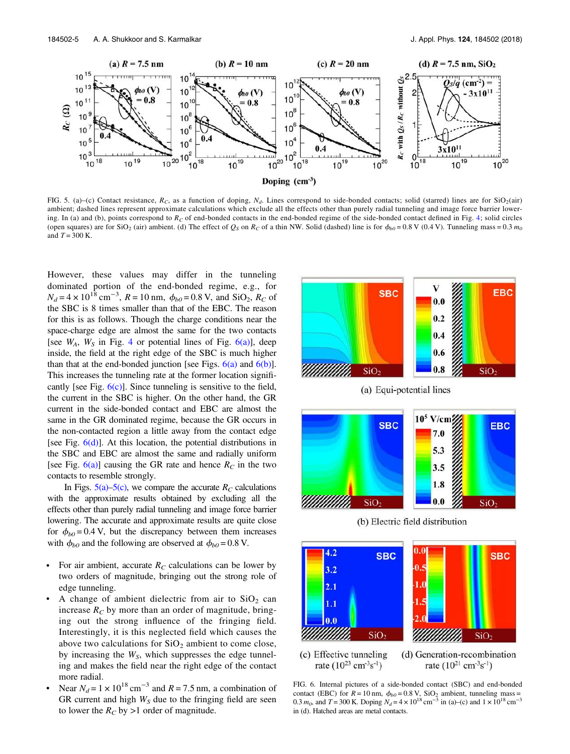

FIG. 5. (a)–(c) Contact resistance,  $R_C$ , as a function of doping,  $N_d$ . Lines correspond to side-bonded contacts; solid (starred) lines are for SiO<sub>2</sub>(air) ambient; dashed lines represent approximate calculations which exclude all the effects other than purely radial tunneling and image force barrier lowering. In (a) and (b), points correspond to  $R_C$  of end-bonded contacts in the end-bonded regime of the side-bonded contact defined in Fig. 4; solid circles (open squares) are for SiO<sub>2</sub> (air) ambient. (d) The effect of  $Q_S$  on  $R_C$  of a thin NW. Solid (dashed) line is for  $\phi_{b0} = 0.8$  V (0.4 V). Tunneling mass = 0.3 *m*<sub>0</sub> and  $T = 300$  K.

However, these values may differ in the tunneling dominated portion of the end-bonded regime, e.g., for  $N_d = 4 \times 10^{18}$  cm<sup>-3</sup>,  $R = 10$  nm,  $\phi_{b0} = 0.8$  V, and SiO<sub>2</sub>,  $R_C$  of the SBC is 8 times smaller than that of the EBC. The reason for this is as follows. Though the charge conditions near the space-charge edge are almost the same for the two contacts [see  $W_A$ ,  $W_S$  in Fig. 4 or potential lines of Fig.  $6(a)$ ], deep inside, the field at the right edge of the SBC is much higher than that at the end-bonded junction [see Figs.  $6(a)$  and  $6(b)$ ]. This increases the tunneling rate at the former location significantly [see Fig.  $6(c)$ ]. Since tunneling is sensitive to the field, the current in the SBC is higher. On the other hand, the GR current in the side-bonded contact and EBC are almost the same in the GR dominated regime, because the GR occurs in the non-contacted region a little away from the contact edge [see Fig.  $6(d)$ ]. At this location, the potential distributions in the SBC and EBC are almost the same and radially uniform [see Fig.  $6(a)$ ] causing the GR rate and hence  $R_C$  in the two contacts to resemble strongly.

In Figs.  $5(a)$ – $5(c)$ , we compare the accurate  $R_C$  calculations with the approximate results obtained by excluding all the effects other than purely radial tunneling and image force barrier lowering. The accurate and approximate results are quite close for  $\phi_{b0}$  = 0.4 V, but the discrepancy between them increases with  $\phi_{b0}$  and the following are observed at  $\phi_{b0} = 0.8$  V.

- For air ambient, accurate  $R_C$  calculations can be lower by two orders of magnitude, bringing out the strong role of edge tunneling.
- A change of ambient dielectric from air to  $SiO<sub>2</sub>$  can increase  $R_C$  by more than an order of magnitude, bringing out the strong influence of the fringing field. Interestingly, it is this neglected field which causes the above two calculations for  $SiO<sub>2</sub>$  ambient to come close, by increasing the *WS*, which suppresses the edge tunneling and makes the field near the right edge of the contact more radial.
- Near  $N_d = 1 \times 10^{18}$  cm<sup>-3</sup> and  $R = 7.5$  nm, a combination of GR current and high  $W<sub>S</sub>$  due to the fringing field are seen to lower the  $R_C$  by >1 order of magnitude.



(a) Equi-potential lines



(b) Electric field distribution



FIG. 6. Internal pictures of a side-bonded contact (SBC) and end-bonded contact (EBC) for  $R = 10$  nm,  $\phi_{b0} = 0.8$  V, SiO<sub>2</sub> ambient, tunneling mass = 0.3  $m_0$ , and  $T = 300$  K. Doping  $N_d = 4 \times 10^{18}$  cm<sup>-3</sup> in (a)–(c) and  $1 \times 10^{18}$  cm<sup>-3</sup> in (d). Hatched areas are metal contacts.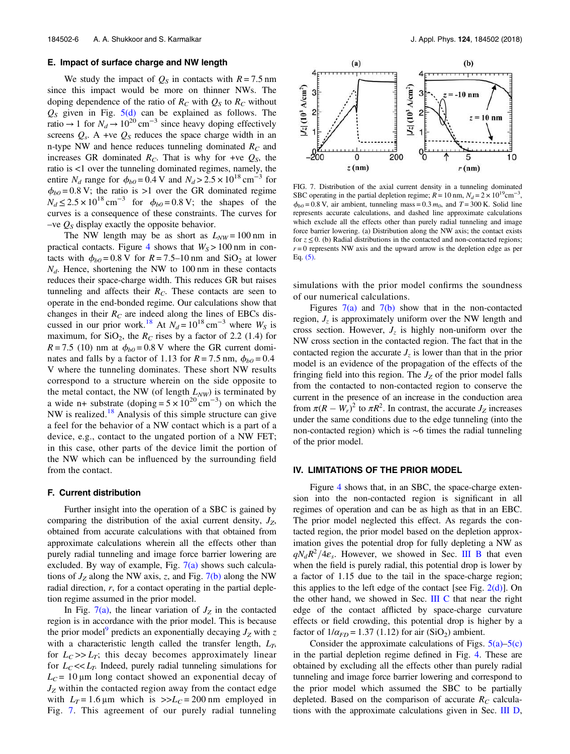#### E. Impact of surface charge and NW length

We study the impact of  $Q_S$  in contacts with  $R = 7.5$  nm since this impact would be more on thinner NWs. The doping dependence of the ratio of  $R_C$  with  $Q_S$  to  $R_C$  without  $Q<sub>S</sub>$  given in Fig.  $5(d)$  can be explained as follows. The ratio  $\rightarrow$  1 for  $N_d \rightarrow 10^{20}$  cm<sup>-3</sup> since heavy doping effectively screens  $Q_s$ . A +ve  $Q_s$  reduces the space charge width in an n-type NW and hence reduces tunneling dominated *R<sup>C</sup>* and increases GR dominated  $R_C$ . That is why for +ve  $Q_S$ , the ratio is <1 over the tunneling dominated regimes, namely, the entire *N<sub>d</sub>* range for  $\phi_{b0} = 0.4$  V and  $N_d > 2.5 \times 10^{18}$  cm<sup>-3</sup> for  $\phi_{b0}$  = 0.8 V; the ratio is >1 over the GR dominated regime  $N_d \le 2.5 \times 10^{18}$  cm<sup>-3</sup> for  $\phi_{b0} = 0.8$  V; the shapes of the curves is a consequence of these constraints. The curves for  $-$ ve  $Q<sub>S</sub>$  display exactly the opposite behavior.

The NW length may be as short as  $L_{NW} = 100 \text{ nm}$  in practical contacts. Figure 4 shows that  $W_s$  > 100 nm in contacts with  $\phi_{b0} = 0.8$  V for  $R = 7.5$ –10 nm and SiO<sub>2</sub> at lower *Nd*. Hence, shortening the NW to 100 nm in these contacts reduces their space-charge width. This reduces GR but raises tunneling and affects their  $R_C$ . These contacts are seen to operate in the end-bonded regime. Our calculations show that changes in their  $R_C$  are indeed along the lines of EBCs discussed in our prior work.<sup>18</sup> At  $N_d = 10^{18} \text{ cm}^{-3}$  where  $W_s$  is maximum, for  $SiO<sub>2</sub>$ , the *R<sub>C</sub>* rises by a factor of 2.2 (1.4) for  $R = 7.5$  (10) nm at  $\phi_{b0} = 0.8$  V where the GR current dominates and falls by a factor of 1.13 for  $R = 7.5$  nm,  $\phi_{b0} = 0.4$ V where the tunneling dominates. These short NW results correspond to a structure wherein on the side opposite to the metal contact, the NW (of length  $L_{NW}$ ) is terminated by a wide n+ substrate (doping =  $5 \times 10^{20}$  cm<sup>-3</sup>) on which the NW is realized.<sup>18</sup> Analysis of this simple structure can give a feel for the behavior of a NW contact which is a part of a device, e.g., contact to the ungated portion of a NW FET; in this case, other parts of the device limit the portion of the NW which can be influenced by the surrounding field from the contact.

#### F. Current distribution

Further insight into the operation of a SBC is gained by comparing the distribution of the axial current density, *JZ*, obtained from accurate calculations with that obtained from approximate calculations wherein all the effects other than purely radial tunneling and image force barrier lowering are excluded. By way of example, Fig.  $7(a)$  shows such calculations of  $J_Z$  along the NW axis, *z*, and Fig. 7(b) along the NW radial direction, *r*, for a contact operating in the partial depletion regime assumed in the prior model.

In Fig.  $7(a)$ , the linear variation of  $J_z$  in the contacted region is in accordance with the prior model. This is because the prior model<sup>9</sup> predicts an exponentially decaying  $J_Z$  with  $z$ with a characteristic length called the transfer length, *LT*, for  $L_C \gg L_T$ ; this decay becomes approximately linear for  $L_C \ll L_T$ . Indeed, purely radial tunneling simulations for  $L_C$  = 10  $\mu$ m long contact showed an exponential decay of *J<sup>Z</sup>* within the contacted region away from the contact edge with  $L_T = 1.6 \,\mu\text{m}$  which is  $>> L_C = 200 \,\text{nm}$  employed in Fig. 7. This agreement of our purely radial tunneling



FIG. 7. Distribution of the axial current density in a tunneling dominated SBC operating in the partial depletion regime;  $R = 10$  nm,  $N_d = 2 \times 10^{19}$ cm<sup>-3</sup> ,  $\phi_{b0}$  = 0.8 V, air ambient, tunneling mass = 0.3  $m_0$ , and  $T = 300$  K. Solid line represents accurate calculations, and dashed line approximate calculations which exclude all the effects other than purely radial tunneling and image force barrier lowering. (a) Distribution along the NW axis; the contact exists for  $z \le 0$ . (b) Radial distributions in the contacted and non-contacted regions;  $r = 0$  represents NW axis and the upward arrow is the depletion edge as per Eq.  $(5)$ .

simulations with the prior model confirms the soundness of our numerical calculations.

Figures  $7(a)$  and  $7(b)$  show that in the non-contacted region, *J<sup>z</sup>* is approximately uniform over the NW length and cross section. However,  $J_z$  is highly non-uniform over the NW cross section in the contacted region. The fact that in the contacted region the accurate  $J_z$  is lower than that in the prior model is an evidence of the propagation of the effects of the fringing field into this region. The  $J_z$  of the prior model falls from the contacted to non-contacted region to conserve the current in the presence of an increase in the conduction area from  $\pi (R - W_r)^2$  to  $\pi R^2$ . In contrast, the accurate  $J_Z$  increases under the same conditions due to the edge tunneling (into the non-contacted region) which is ∼6 times the radial tunneling of the prior model.

#### IV. LIMITATIONS OF THE PRIOR MODEL

Figure 4 shows that, in an SBC, the space-charge extension into the non-contacted region is significant in all regimes of operation and can be as high as that in an EBC. The prior model neglected this effect. As regards the contacted region, the prior model based on the depletion approximation gives the potential drop for fully depleting a NW as  $qN_dR^2/4\varepsilon_s$ . However, we showed in Sec. III B that even when the field is purely radial, this potential drop is lower by a factor of 1.15 due to the tail in the space-charge region; this applies to the left edge of the contact [see Fig.  $2(d)$ ]. On the other hand, we showed in Sec.  $III$  C that near the right edge of the contact afflicted by space-charge curvature effects or field crowding, this potential drop is higher by a factor of  $1/\alpha_{FD} = 1.37$  (1.12) for air (SiO<sub>2</sub>) ambient.

Consider the approximate calculations of Figs.  $5(a)$ – $5(c)$ in the partial depletion regime defined in Fig. 4. These are obtained by excluding all the effects other than purely radial tunneling and image force barrier lowering and correspond to the prior model which assumed the SBC to be partially depleted. Based on the comparison of accurate  $R_C$  calculations with the approximate calculations given in Sec. III D,